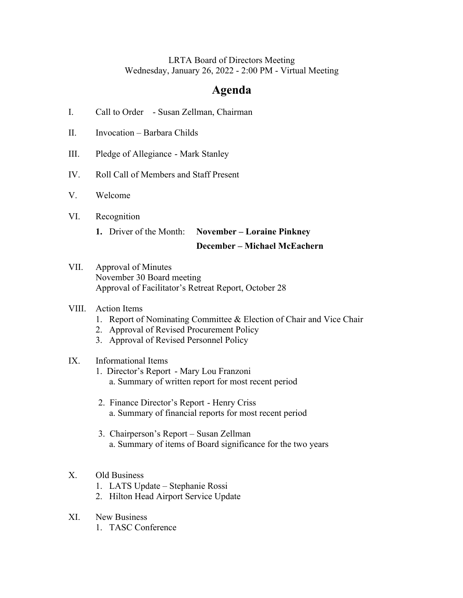### LRTA Board of Directors Meeting Wednesday, January 26, 2022 - 2:00 PM - Virtual Meeting

# **Agenda**

- I. Call to Order Susan Zellman, Chairman
- II. Invocation Barbara Childs
- III. Pledge of Allegiance Mark Stanley
- IV. Roll Call of Members and Staff Present
- V. Welcome
- VI. Recognition
	- **1.** Driver of the Month: **November – Loraine Pinkney**

#### **December – Michael McEachern**

VII. Approval of Minutes November 30 Board meeting Approval of Facilitator's Retreat Report, October 28

#### VIII. Action Items

- 1. Report of Nominating Committee & Election of Chair and Vice Chair
- 2. Approval of Revised Procurement Policy
- 3. Approval of Revised Personnel Policy

### IX. Informational Items

- 1. Director's Report Mary Lou Franzoni a. Summary of written report for most recent period
- 2. Finance Director's Report Henry Criss a. Summary of financial reports for most recent period
- 3. Chairperson's Report Susan Zellman a. Summary of items of Board significance for the two years

#### X. Old Business

- 1. LATS Update Stephanie Rossi
- 2. Hilton Head Airport Service Update
- XI. New Business
	- 1. TASC Conference